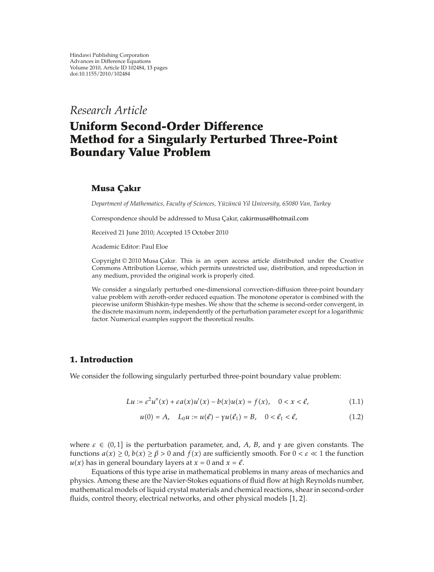*Research Article*

# **Uniform Second-Order Difference Method for a Singularly Perturbed Three-Point Boundary Value Problem**

### **Musa C¸ akır**

*Department of Mathematics, Faculty of Sciences, Yüzüncü Yil University, 65080 Van, Turkey* 

Correspondence should be addressed to Musa Çakır, cakirmusa@hotmail.com

Received 21 June 2010; Accepted 15 October 2010

Academic Editor: Paul Eloe

Copyright © 2010 Musa Çakır. This is an open access article distributed under the Creative Commons Attribution License, which permits unrestricted use, distribution, and reproduction in any medium, provided the original work is properly cited.

We consider a singularly perturbed one-dimensional convection-diffusion three-point boundary value problem with zeroth-order reduced equation. The monotone operator is combined with the piecewise uniform Shishkin-type meshes. We show that the scheme is second-order convergent, in the discrete maximum norm, independently of the perturbation parameter except for a logarithmic factor. Numerical examples support the theoretical results.

### **1. Introduction**

We consider the following singularly perturbed three-point boundary value problem:

$$
Lu := \varepsilon^{2} u''(x) + \varepsilon a(x) u'(x) - b(x) u(x) = f(x), \quad 0 < x < \ell,
$$
\n(1.1)

$$
u(0) = A, \quad L_0 u := u(\ell) - \gamma u(\ell_1) = B, \quad 0 < \ell_1 < \ell,\tag{1.2}
$$

where  $\varepsilon \in (0,1]$  is the perturbation parameter, and, *A*, *B*, and *γ* are given constants. The functions  $a(x) \ge 0$ ,  $b(x) \ge \beta > 0$  and  $f(x)$  are sufficiently smooth. For  $0 < \varepsilon \ll 1$  the function  $u(x)$  has in general boundary layers at  $x = 0$  and  $x = \ell$ .

Equations of this type arise in mathematical problems in many areas of mechanics and physics. Among these are the Navier-Stokes equations of fluid flow at high Reynolds number, mathematical models of liquid crystal materials and chemical reactions, shear in second-order fluids, control theory, electrical networks, and other physical models  $[1, 2]$ .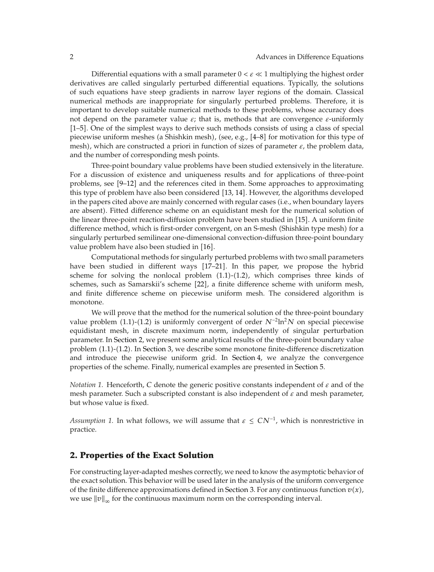Differential equations with a small parameter  $0 < \varepsilon \ll 1$  multiplying the highest order derivatives are called singularly perturbed differential equations. Typically, the solutions of such equations have steep gradients in narrow layer regions of the domain. Classical numerical methods are inappropriate for singularly perturbed problems. Therefore, it is important to develop suitable numerical methods to these problems, whose accuracy does not depend on the parameter value *ε*; that is, methods that are convergence *ε*-uniformly 1–5. One of the simplest ways to derive such methods consists of using a class of special piecewise uniform meshes (a Shishkin mesh), (see, e.g.,  $[4–8]$  for motivation for this type of mesh, which are constructed a priori in function of sizes of parameter *ε*, the problem data, and the number of corresponding mesh points.

Three-point boundary value problems have been studied extensively in the literature. For a discussion of existence and uniqueness results and for applications of three-point problems, see  $[9-12]$  and the references cited in them. Some approaches to approximating this type of problem have also been considered [13, 14]. However, the algorithms developed in the papers cited above are mainly concerned with regular cases (i.e., when boundary layers are absent). Fitted difference scheme on an equidistant mesh for the numerical solution of the linear three-point reaction-diffusion problem have been studied in [15]. A uniform finite difference method, which is first-order convergent, on an S-mesh (Shishkin type mesh) for a singularly perturbed semilinear one-dimensional convection-diffusion three-point boundary value problem have also been studied in  $[16]$ .

Computational methods for singularly perturbed problems with two small parameters have been studied in different ways  $[17–21]$ . In this paper, we propose the hybrid scheme for solving the nonlocal problem  $(1.1)-(1.2)$ , which comprises three kinds of schemes, such as Samarskii's scheme [22], a finite difference scheme with uniform mesh, and finite difference scheme on piecewise uniform mesh. The considered algorithm is monotone.

We will prove that the method for the numerical solution of the three-point boundary value problem  $(1.1)-(1.2)$  is uniformly convergent of order  $N^{-2}\ln^2N$  on special piecewise equidistant mesh, in discrete maximum norm, independently of singular perturbation parameter. In Section 2, we present some analytical results of the three-point boundary value problem  $(1.1)-(1.2)$ . In Section 3, we describe some monotone finite-difference discretization and introduce the piecewise uniform grid. In Section 4, we analyze the convergence properties of the scheme. Finally, numerical examples are presented in Section 5.

*Notation 1.* Henceforth, *C* denote the generic positive constants independent of *ε* and of the mesh parameter. Such a subscripted constant is also independent of *ε* and mesh parameter, but whose value is fixed.

*Assumption 1.* In what follows, we will assume that  $\varepsilon \le CN^{-1}$ , which is nonrestrictive in practice.

### **2. Properties of the Exact Solution**

For constructing layer-adapted meshes correctly, we need to know the asymptotic behavior of the exact solution. This behavior will be used later in the analysis of the uniform convergence of the finite difference approximations defined in Section 3. For any continuous function  $v(x)$ , we use  $\|v\|_{\infty}$  for the continuous maximum norm on the corresponding interval.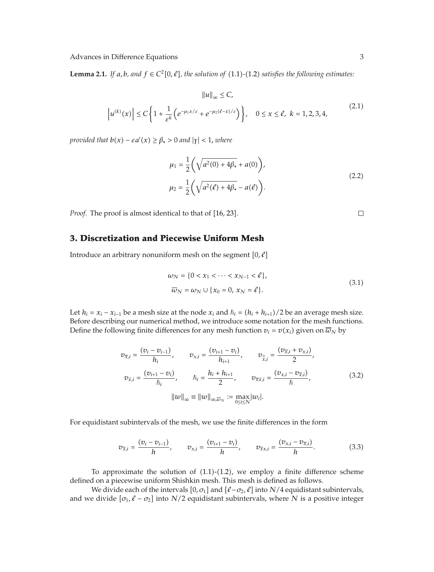**Lemma 2.1.** *If a, b, and*  $f \in C^2[0, \ell]$ *, the solution of* (1.1)-(1.2) *satisfies the following estimates:* 

$$
||u||_{\infty} \le C,
$$
  

$$
|u^{(k)}(x)| \le C \left\{ 1 + \frac{1}{\varepsilon^k} \left( e^{-\mu_1 x/\varepsilon} + e^{-\mu_2(\ell - x)/\varepsilon} \right) \right\}, \quad 0 \le x \le \ell, \ k = 1, 2, 3, 4,
$$
 (2.1)

*provided that*  $b(x) - \varepsilon a'(x) \ge \beta_* > 0$  *and*  $|\gamma| < 1$ *, where* 

$$
\mu_1 = \frac{1}{2} \left( \sqrt{a^2(0) + 4\beta_*} + a(0) \right),
$$
  

$$
\mu_2 = \frac{1}{2} \left( \sqrt{a^2(\ell) + 4\beta_*} - a(\ell) \right).
$$
 (2.2)

*Proof.* The proof is almost identical to that of [16, 23].

## **3. Discretization and Piecewise Uniform Mesh**

Introduce an arbitrary nonuniform mesh on the segment  $[0, \ell]$ 

$$
\omega_N = \{0 < x_1 < \dots < x_{N-1} < \ell\},\
$$
\n
$$
\overline{\omega}_N = \omega_N \cup \{x_0 = 0, x_N = \ell\}.\tag{3.1}
$$

Let  $h_i = x_i - x_{i-1}$  be a mesh size at the node  $x_i$  and  $\hbar_i = (h_i + h_{i+1})/2$  be an average mesh size. Before describing our numerical method, we introduce some notation for the mesh functions. Define the following finite differences for any mesh function  $v_i = v(x_i)$  given on  $\overline{\omega}_N$  by

$$
v_{\bar{x},i} = \frac{(v_i - v_{i-1})}{h_i}, \qquad v_{x,i} = \frac{(v_{i+1} - v_i)}{h_{i+1}}, \qquad v_{\bar{v},i} = \frac{(v_{\bar{x},i} + v_{x,i})}{2},
$$
  

$$
v_{\bar{x},i} = \frac{(v_{i+1} - v_i)}{\hbar_i}, \qquad \hbar_i = \frac{h_i + h_{i+1}}{2}, \qquad v_{\bar{x}\bar{x},i} = \frac{(v_{x,i} - v_{\bar{x},i})}{\hbar},
$$
  

$$
||w||_{\infty} \equiv ||w||_{\infty, \bar{\omega}_N} := \max_{0 \le i \le N} |w_i|.
$$
 (3.2)

For equidistant subintervals of the mesh, we use the finite differences in the form

$$
v_{\overline{x},i} = \frac{(v_i - v_{i-1})}{h}, \qquad v_{x,i} = \frac{(v_{i+1} - v_i)}{h}, \qquad v_{\overline{x}x,i} = \frac{(v_{x,i} - v_{\overline{x},i})}{h}.
$$
 (3.3)

To approximate the solution of  $(1.1)-(1.2)$ , we employ a finite difference scheme defined on a piecewise uniform Shishkin mesh. This mesh is defined as follows.

We divide each of the intervals  $[0, \sigma_1]$  and  $[\ell - \sigma_2, \ell]$  into *N*/4 equidistant subintervals, and we divide  $[\sigma_1, \ell - \sigma_2]$  into *N*/2 equidistant subintervals, where *N* is a positive integer

 $\Box$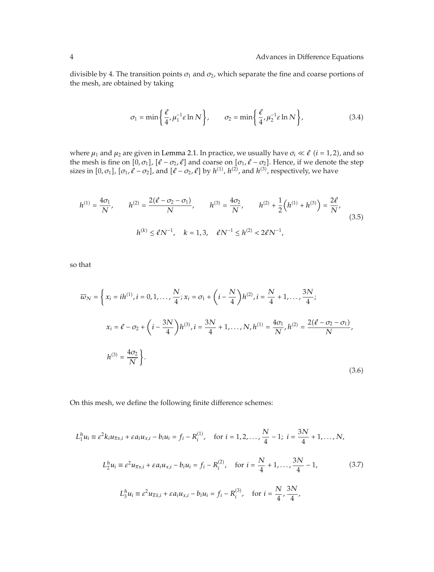divisible by 4. The transition points  $\sigma_1$  and  $\sigma_2$ , which separate the fine and coarse portions of the mesh, are obtained by taking

$$
\sigma_1 = \min\left\{\frac{\ell}{4}, \mu_1^{-1}\varepsilon \ln N\right\}, \qquad \sigma_2 = \min\left\{\frac{\ell}{4}, \mu_2^{-1}\varepsilon \ln N\right\},\tag{3.4}
$$

where  $\mu_1$  and  $\mu_2$  are given in Lemma 2.1. In practice, we usually have  $\sigma_i \ll \ell$  (*i* = 1, 2), and so the mesh is fine on  $[0, \sigma_1]$ ,  $[\ell - \sigma_2, \ell]$  and coarse on  $[\sigma_1, \ell - \sigma_2]$ . Hence, if we denote the step sizes in  $[0, \sigma_1]$ ,  $[\sigma_1, \ell - \sigma_2]$ , and  $[\ell - \sigma_2, \ell]$  by  $h^{(1)}$ ,  $h^{(2)}$ , and  $h^{(3)}$ , respectively, we have

$$
h^{(1)} = \frac{4\sigma_1}{N}, \qquad h^{(2)} = \frac{2(\ell - \sigma_2 - \sigma_1)}{N}, \qquad h^{(3)} = \frac{4\sigma_2}{N}, \qquad h^{(2)} + \frac{1}{2} (h^{(1)} + h^{(3)}) = \frac{2\ell}{N},
$$
  

$$
h^{(k)} \le \ell N^{-1}, \quad k = 1, 3, \quad \ell N^{-1} \le h^{(2)} < 2\ell N^{-1},
$$
\n
$$
(3.5)
$$

so that

$$
\overline{\omega}_{N} = \left\{ x_{i} = ih^{(1)}, i = 0, 1, ..., \frac{N}{4}; x_{i} = \sigma_{1} + \left(i - \frac{N}{4}\right)h^{(2)}, i = \frac{N}{4} + 1, ..., \frac{3N}{4}; \right\}
$$
\n
$$
x_{i} = \ell - \sigma_{2} + \left(i - \frac{3N}{4}\right)h^{(3)}, i = \frac{3N}{4} + 1, ..., N, h^{(1)} = \frac{4\sigma_{1}}{N}, h^{(2)} = \frac{2(\ell - \sigma_{2} - \sigma_{1})}{N}, \right\}
$$
\n
$$
h^{(3)} = \frac{4\sigma_{2}}{N} \right\}.
$$
\n(3.6)

On this mesh, we define the following finite difference schemes:

$$
L_1^h u_i \equiv \varepsilon^2 k_i u_{\overline{x}x,i} + \varepsilon a_i u_{x,i} - b_i u_i = f_i - R_i^{(1)}, \quad \text{for } i = 1, 2, ..., \frac{N}{4} - 1; \ i = \frac{3N}{4} + 1, ..., N,
$$
  

$$
L_2^h u_i \equiv \varepsilon^2 u_{\overline{x}x,i} + \varepsilon a_i u_{x,i} - b_i u_i = f_i - R_i^{(2)}, \quad \text{for } i = \frac{N}{4} + 1, ..., \frac{3N}{4} - 1,
$$
  

$$
L_3^h u_i \equiv \varepsilon^2 u_{\overline{x}\hat{x},i} + \varepsilon a_i u_{x,i} - b_i u_i = f_i - R_i^{(3)}, \quad \text{for } i = \frac{N}{4}, \frac{3N}{4},
$$
  
(3.7)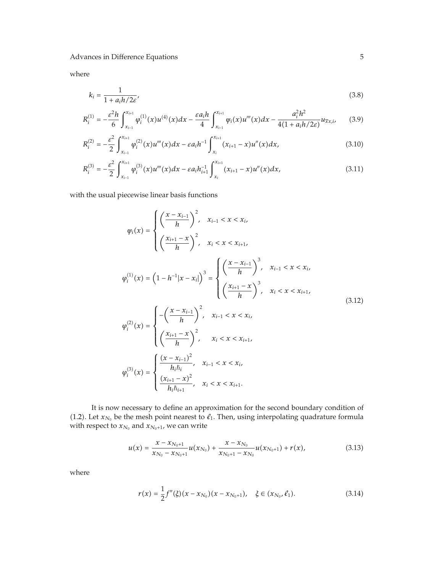where

$$
k_i = \frac{1}{1 + a_i h / 2\varepsilon'},\tag{3.8}
$$

$$
R_i^{(1)} = -\frac{\varepsilon^2 h}{6} \int_{x_{i-1}}^{x_{i+1}} \varphi_i^{(1)}(x) u^{(4)}(x) dx - \frac{\varepsilon a_i h}{4} \int_{x_{i-1}}^{x_{i+1}} \varphi_i(x) u'''(x) dx - \frac{a_i^2 h^2}{4(1 + a_i h/2\varepsilon)} u_{\overline{x}x, i},
$$
(3.9)

$$
R_i^{(2)} = -\frac{\varepsilon^2}{2} \int_{x_{i-1}}^{x_{i+1}} \varphi_i^{(2)}(x) u'''(x) dx - \varepsilon a_i h^{-1} \int_{x_i}^{x_{i+1}} (x_{i+1} - x) u''(x) dx,
$$
\n(3.10)

$$
R_i^{(3)} = -\frac{\varepsilon^2}{2} \int_{x_{i-1}}^{x_{i+1}} \varphi_i^{(3)}(x) u'''(x) dx - \varepsilon a_i h_{i+1}^{-1} \int_{x_i}^{x_{i+1}} (x_{i+1} - x) u''(x) dx,
$$
\n(3.11)

with the usual piecewise linear basis functions

$$
\varphi_{i}(x) = \begin{cases}\n\left(\frac{x - x_{i-1}}{h}\right)^{2}, & x_{i-1} < x < x_{i}, \\
\left(\frac{x_{i+1} - x}{h}\right)^{2}, & x_{i} < x < x_{i+1}, \\
\left(\frac{x_{i+1} - x}{h}\right)^{3}, & x_{i-1} < x < x_{i}, \\
\left(\frac{x_{i+1} - x}{h}\right)^{3}, & x_{i-1} < x < x_{i}, \\
\left(\frac{x_{i+1} - x}{h}\right)^{3}, & x_{i} < x < x_{i+1}, \\
\varphi_{i}^{(2)}(x) = \begin{cases}\n-\left(\frac{x - x_{i-1}}{h}\right)^{2}, & x_{i-1} < x < x_{i}, \\
\left(\frac{x_{i+1} - x}{h}\right)^{2}, & x_{i} < x < x_{i+1}, \\
\left(\frac{x_{i+1} - x}{h}\right)^{2}, & x_{i} < x < x_{i+1}, \\
\frac{(x_{i+1} - x)^{2}}{h_{i}h_{i}}, & x_{i-1} < x < x_{i}, \\
\frac{(x_{i+1} - x)^{2}}{h_{i}h_{i+1}}, & x_{i} < x < x_{i+1}.\n\end{cases} (3.12)
$$

It is now necessary to define an approximation for the second boundary condition of (1.2). Let  $x_{N_0}$  be the mesh point nearest to  $\ell_1$ . Then, using interpolating quadrature formula with respect to  $x_{N_0}$  and  $x_{N_0+1}$ , we can write

$$
u(x) = \frac{x - x_{N_0+1}}{x_{N_0} - x_{N_0+1}} u(x_{N_0}) + \frac{x - x_{N_0}}{x_{N_0+1} - x_{N_0}} u(x_{N_0+1}) + r(x),
$$
\n(3.13)

where

$$
r(x) = \frac{1}{2}f''(\xi)(x - x_{N_0})(x - x_{N_0+1}), \quad \xi \in (x_{N_0}, \ell_1). \tag{3.14}
$$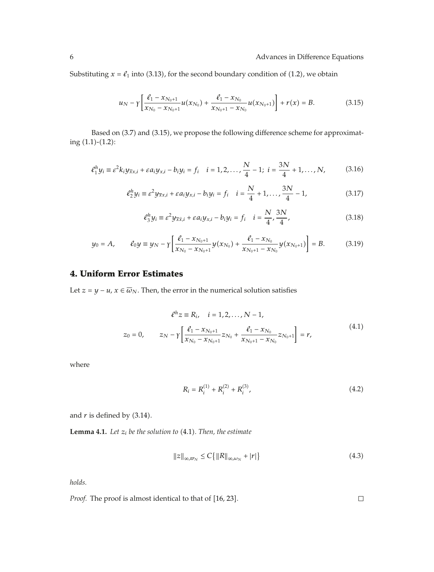Substituting  $x = \ell_1$  into (3.13), for the second boundary condition of (1.2), we obtain

$$
u_N - \gamma \left[ \frac{\ell_1 - x_{N_0+1}}{x_{N_0} - x_{N_0+1}} u(x_{N_0}) + \frac{\ell_1 - x_{N_0}}{x_{N_0+1} - x_{N_0}} u(x_{N_0+1}) \right] + r(x) = B.
$$
 (3.15)

Based on (3.7) and (3.15), we propose the following difference scheme for approximating  $(1.1)-(1.2)$ :

$$
e_1^h y_i \equiv \varepsilon^2 k_i y_{\bar{x}x,i} + \varepsilon a_i y_{x,i} - b_i y_i = f_i \quad i = 1, 2, ..., \frac{N}{4} - 1; \ i = \frac{3N}{4} + 1, ..., N,
$$
 (3.16)

$$
\ell_2^h y_i \equiv \varepsilon^2 y_{\overline{x}x,i} + \varepsilon a_i y_{x,i} - b_i y_i = f_i \quad i = \frac{N}{4} + 1, \dots, \frac{3N}{4} - 1,
$$
 (3.17)

$$
\ell_3^h y_i \equiv \varepsilon^2 y_{\overline{x}\hat{x},i} + \varepsilon a_i y_{x,i} - b_i y_i = f_i \quad i = \frac{N}{4}, \frac{3N}{4}, \tag{3.18}
$$

$$
y_0 = A, \qquad \ell_0 y \equiv y_N - \gamma \left[ \frac{\ell_1 - x_{N_0 + 1}}{x_{N_0} - x_{N_0 + 1}} y(x_{N_0}) + \frac{\ell_1 - x_{N_0}}{x_{N_0 + 1} - x_{N_0}} y(x_{N_0 + 1}) \right] = B. \tag{3.19}
$$

### **4. Uniform Error Estimates**

Let *z* = *y* − *u*, *x* ∈  $\overline{w}_N$ . Then, the error in the numerical solution satisfies

$$
\ell^h z \equiv R_i, \quad i = 1, 2, ..., N - 1,
$$
  
\n
$$
z_0 = 0, \qquad z_N - \gamma \left[ \frac{\ell_1 - x_{N_0 + 1}}{x_{N_0} - x_{N_0 + 1}} z_{N_0} + \frac{\ell_1 - x_{N_0}}{x_{N_0 + 1} - x_{N_0}} z_{N_0 + 1} \right] = r,
$$
\n(4.1)

where

$$
R_i = R_i^{(1)} + R_i^{(2)} + R_i^{(3)},\tag{4.2}
$$

and  $r$  is defined by  $(3.14)$ .

**Lemma 4.1.** Let  $z_i$  be the solution to  $(4.1)$ . Then, the estimate

$$
||z||_{\infty,\varpi_N} \le C \{ ||R||_{\infty,\omega_N} + |r| \}
$$
\n(4.3)

*holds.*

*Proof.* The proof is almost identical to that of [16, 23].  $\Box$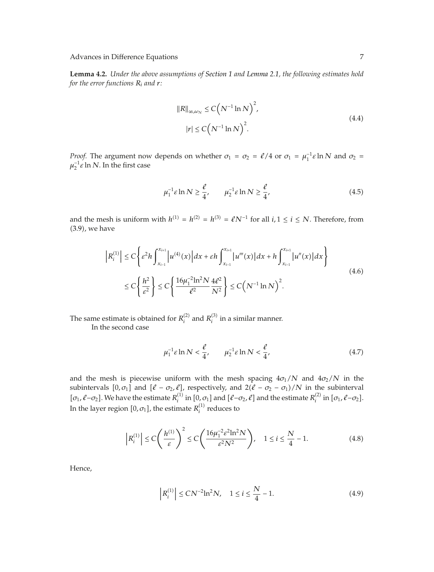**Lemma 4.2.** *Under the above assumptions of Section 1 and Lemma 2.1, the following estimates hold for the error functions Ri and r:*

$$
||R||_{\infty,\omega_N} \le C\left(N^{-1}\ln N\right)^2,
$$
  
\n
$$
|r| \le C\left(N^{-1}\ln N\right)^2.
$$
\n(4.4)

*Proof.* The argument now depends on whether  $\sigma_1 = \sigma_2 = \ell/4$  or  $\sigma_1 = \mu_1^{-1} \varepsilon \ln N$  and  $\sigma_2 =$  $\mu_2^{-1} \varepsilon$  ln *N*. In the first case

$$
\mu_1^{-1} \varepsilon \ln N \ge \frac{\ell}{4}, \qquad \mu_2^{-1} \varepsilon \ln N \ge \frac{\ell}{4}, \tag{4.5}
$$

and the mesh is uniform with  $h^{(1)} = h^{(2)} = h^{(3)} = \ell N^{-1}$  for all  $i, 1 \le i \le N$ . Therefore, from 3.9, we have

$$
\left| R_i^{(1)} \right| \le C \left\{ \varepsilon^2 h \int_{x_{i-1}}^{x_{i+1}} \left| u^{(4)}(x) \right| dx + \varepsilon h \int_{x_{i-1}}^{x_{i+1}} \left| u'''(x) \right| dx + h \int_{x_{i-1}}^{x_{i+1}} \left| u''(x) \right| dx \right\}
$$
\n
$$
\le C \left\{ \frac{h^2}{\varepsilon^2} \right\} \le C \left\{ \frac{16\mu_1^{-2} \ln^2 N}{\ell^2} \frac{4\ell^2}{N^2} \right\} \le C \left( N^{-1} \ln N \right)^2. \tag{4.6}
$$

The same estimate is obtained for  $R_i^{(2)}$  and  $R_i^{(3)}$  in a similar manner.

In the second case

$$
\mu_1^{-1}\varepsilon \ln N < \frac{\ell}{4}, \qquad \mu_2^{-1}\varepsilon \ln N < \frac{\ell}{4},\tag{4.7}
$$

and the mesh is piecewise uniform with the mesh spacing  $4\sigma_1/N$  and  $4\sigma_2/N$  in the subintervals  $[0, \sigma_1]$  and  $[\ell - \sigma_2, \ell]$ , respectively, and  $2(\ell - \sigma_2 - \sigma_1)/N$  in the subinterval  $[\sigma_1, \ell - \sigma_2]$ . We have the estimate  $R_i^{(1)}$  in  $[0, \sigma_1]$  and  $[\ell - \sigma_2, \ell]$  and the estimate  $R_i^{(2)}$  in  $[\sigma_1, \ell - \sigma_2]$ . In the layer region  $[0,\sigma_1]$ , the estimate  $R_i^{(1)}$  reduces to

$$
\left| R_i^{(1)} \right| \le C \left( \frac{h^{(1)}}{\varepsilon} \right)^2 \le C \left( \frac{16\mu_1^{-2} \varepsilon^2 \ln^2 N}{\varepsilon^2 N^2} \right), \quad 1 \le i \le \frac{N}{4} - 1. \tag{4.8}
$$

Hence,

$$
\left| R_i^{(1)} \right| \le C N^{-2} \ln^2 N, \quad 1 \le i \le \frac{N}{4} - 1. \tag{4.9}
$$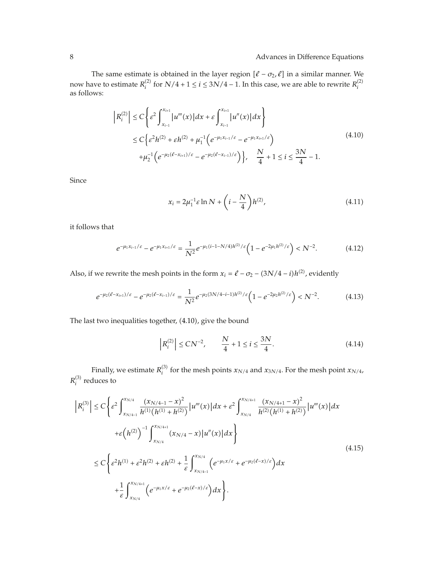The same estimate is obtained in the layer region  $[\ell - \sigma_2, \ell]$  in a similar manner. We now have to estimate  $R_i^{(2)}$  for  $N/4 + 1 \le i \le 3N/4 - 1$ . In this case, we are able to rewrite  $R_i^{(2)}$ as follows:

$$
\left| R_i^{(2)} \right| \le C \left\{ \varepsilon^2 \int_{x_{i-1}}^{x_{i+1}} \left| u'''(x) \right| dx + \varepsilon \int_{x_{i-1}}^{x_{i+1}} \left| u''(x) \right| dx \right\}
$$
  
\n
$$
\le C \left\{ \varepsilon^2 h^{(2)} + \varepsilon h^{(2)} + \mu_1^{-1} \left( e^{-\mu_1 x_{i-1}/\varepsilon} - e^{-\mu_1 x_{i+1}/\varepsilon} \right) + \mu_2^{-1} \left( e^{-\mu_2 (\ell - x_{i+1})/\varepsilon} - e^{-\mu_2 (\ell - x_{i-1})/\varepsilon} \right) \right\}, \quad \frac{N}{4} + 1 \le i \le \frac{3N}{4} - 1. \tag{4.10}
$$

Since

$$
x_i = 2\mu_1^{-1} \varepsilon \ln N + \left( i - \frac{N}{4} \right) h^{(2)},
$$
\n(4.11)

it follows that

$$
e^{-\mu_1 x_{i-1}/\varepsilon} - e^{-\mu_1 x_{i+1}/\varepsilon} = \frac{1}{N^2} e^{-\mu_1 (i-1-N/4)h^{(2)}/\varepsilon} \left( 1 - e^{-2\mu_1 h^{(2)}/\varepsilon} \right) < N^{-2}.\tag{4.12}
$$

Also, if we rewrite the mesh points in the form  $x_i = \ell - \sigma_2 - (3N/4 - i)h^{(2)}$ , evidently

$$
e^{-\mu_2(\ell - x_{i+1})/\varepsilon} - e^{-\mu_2(\ell - x_{i-1})/\varepsilon} = \frac{1}{N^2} e^{-\mu_2(3N/4 - i - 1)h^{(2)}/\varepsilon} \left(1 - e^{-2\mu_2 h^{(2)}/\varepsilon}\right) < N^{-2}.\tag{4.13}
$$

The last two inequalities together, (4.10), give the bound

$$
\left| R_i^{(2)} \right| \le C N^{-2}, \qquad \frac{N}{4} + 1 \le i \le \frac{3N}{4}.
$$
 (4.14)

Finally, we estimate  $R_i^{(3)}$  for the mesh points  $x_{N/4}$  and  $x_{3N/4}$ . For the mesh point  $x_{N/4}$ ,  $R_i^{(3)}$  reduces to

$$
\left| R_i^{(3)} \right| \leq C \left\{ \varepsilon^2 \int_{x_{N/4}}^{x_{N/4}} \frac{(x_{N/4-1} - x)^2}{h^{(1)}(h^{(1)} + h^{(2)})} |u'''(x)| dx + \varepsilon^2 \int_{x_{N/4}}^{x_{N/4+1}} \frac{(x_{N/4+1} - x)^2}{h^{(2)}(h^{(1)} + h^{(2)})} |u'''(x)| dx \right\}
$$
  
+
$$
\varepsilon (h^{(2)})^{-1} \int_{x_{N/4}}^{x_{N/4+1}} (x_{N/4} - x) |u''(x)| dx \right\}
$$
  

$$
\leq C \left\{ \varepsilon^2 h^{(1)} + \varepsilon^2 h^{(2)} + \varepsilon h^{(2)} + \frac{1}{\varepsilon} \int_{x_{N/4-1}}^{x_{N/4}} \left( e^{-\mu_1 x/\varepsilon} + e^{-\mu_2 (\ell - x)/\varepsilon} \right) dx + \frac{1}{\varepsilon} \int_{x_{N/4}}^{x_{N/4+1}} \left( e^{-\mu_1 x/\varepsilon} + e^{-\mu_2 (\ell - x)/\varepsilon} \right) dx \right\}.
$$
  
(4.15)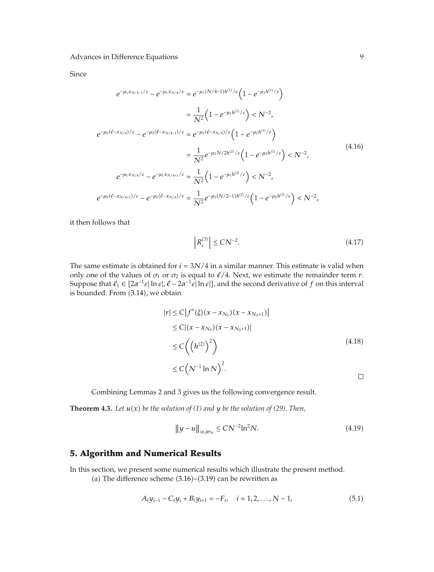Since

$$
e^{-\mu_1 x_{N/4-1}/\varepsilon} - e^{-\mu_1 x_{N/4}/\varepsilon} = e^{-\mu_1 (N/4-1)h^{(1)}/\varepsilon} \left( 1 - e^{-\mu_1 h^{(1)}/\varepsilon} \right)
$$
  
\n
$$
= \frac{1}{N^2} \left( 1 - e^{-\mu_1 h^{(1)}/\varepsilon} \right) < N^{-2},
$$
  
\n
$$
e^{-\mu_2 (\ell - x_{N/4})/\varepsilon} - e^{-\mu_2 (\ell - x_{N/4-1})/\varepsilon} = e^{-\mu_2 (\ell - x_{N/4})/\varepsilon} \left( 1 - e^{-\mu_2 h^{(1)}/\varepsilon} \right)
$$
  
\n
$$
= \frac{1}{N^2} e^{-\mu_2 N/2h^{(2)}/\varepsilon} \left( 1 - e^{-\mu_2 h^{(1)}/\varepsilon} \right) < N^{-2},
$$
  
\n
$$
e^{-\mu_1 x_{N/4}/\varepsilon} - e^{-\mu_1 x_{N/4+1}/\varepsilon} = \frac{1}{N^2} \left( 1 - e^{-\mu_1 h^{(2)}/\varepsilon} \right) < N^{-2},
$$
  
\n
$$
e^{-\mu_2 (\ell - x_{N/4+1})/\varepsilon} - e^{-\mu_2 (\ell - x_{N/4})/\varepsilon} = \frac{1}{N^2} e^{-\mu_2 (N/2 - 1)h^{(2)}/\varepsilon} \left( 1 - e^{-\mu_2 h^{(2)}/\varepsilon} \right) < N^{-2},
$$
  
\n(4.16)

it then follows that

$$
\left| R_i^{(3)} \right| \le C N^{-2}.\tag{4.17}
$$

The same estimate is obtained for  $i = 3N/4$  in a similar manner. This estimate is valid when only one of the values of  $\sigma_1$  or  $\sigma_2$  is equal to  $\ell/4$ . Next, we estimate the remainder term *r*. Suppose that  $\ell_1 \in [2\alpha^{-1} \varepsilon | \ln \varepsilon |, \ell - 2\alpha^{-1} \varepsilon | \ln \varepsilon |]$ , and the second derivative of f on this interval is bounded. From (3.14), we obtain

$$
|r| \leq C |f''(\xi)(x - x_{N_0})(x - x_{N_0+1})|
$$
  
\n
$$
\leq C |(x - x_{N_0})(x - x_{N_0+1})|
$$
  
\n
$$
\leq C \left( \left( h^{(2)} \right)^2 \right)
$$
  
\n
$$
\leq C \left( N^{-1} \ln N \right)^2.
$$
\n
$$
\square
$$

Combining Lemmas 2 and 3 gives us the following convergence result.

**Theorem 4.3.** Let  $u(x)$  be the solution of (1) and  $y$  be the solution of (29). Then,

$$
\|y - u\|_{\infty, \varpi_N} \leq CN^{-2} \ln^2 N. \tag{4.19}
$$

### **5. Algorithm and Numerical Results**

In this section, we present some numerical results which illustrate the present method.

(a) The difference scheme  $(3.16)$ – $(3.19)$  can be rewritten as

$$
A_i y_{i-1} - C_i y_i + B_i y_{i+1} = -F_i, \quad i = 1, 2, ..., N - 1,
$$
\n(5.1)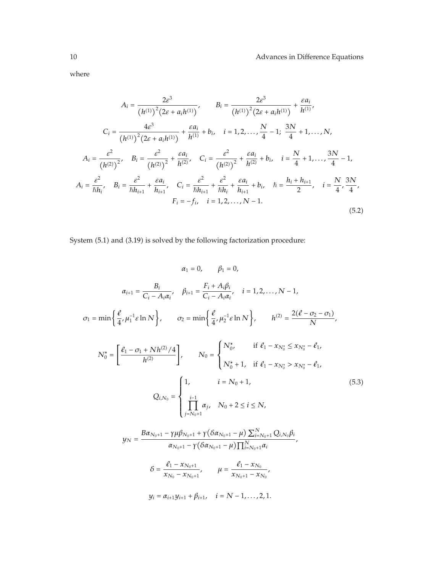where

$$
A_{i} = \frac{2\varepsilon^{3}}{(h^{(1)})^{2}(2\varepsilon + a_{i}h^{(1)})}, \qquad B_{i} = \frac{2\varepsilon^{3}}{(h^{(1)})^{2}(2\varepsilon + a_{i}h^{(1)})} + \frac{\varepsilon a_{i}}{h^{(1)}},
$$
  
\n
$$
C_{i} = \frac{4\varepsilon^{3}}{(h^{(1)})^{2}(2\varepsilon + a_{i}h^{(1)})} + \frac{\varepsilon a_{i}}{h^{(1)}} + b_{i}, \quad i = 1, 2, ..., \frac{N}{4} - 1; \quad \frac{3N}{4} + 1, ..., N,
$$
  
\n
$$
A_{i} = \frac{\varepsilon^{2}}{(h^{(2)})^{2}}, \quad B_{i} = \frac{\varepsilon^{2}}{(h^{(2)})^{2}} + \frac{\varepsilon a_{i}}{h^{(2)}}, \quad C_{i} = \frac{\varepsilon^{2}}{(h^{(2)})^{2}} + \frac{\varepsilon a_{i}}{h^{(2)}} + b_{i}, \quad i = \frac{N}{4} + 1, ..., \frac{3N}{4} - 1,
$$
  
\n
$$
A_{i} = \frac{\varepsilon^{2}}{h h_{i}}, \quad B_{i} = \frac{\varepsilon^{2}}{h h_{i+1}} + \frac{\varepsilon a_{i}}{h_{i+1}}, \quad C_{i} = \frac{\varepsilon^{2}}{h h_{i+1}} + \frac{\varepsilon a_{i}}{h h_{i}} + \frac{\varepsilon a_{i}}{h_{i+1}} + b_{i}, \quad \hbar = \frac{h_{i} + h_{i+1}}{2}, \quad i = \frac{N}{4}, \frac{3N}{4},
$$
  
\n
$$
F_{i} = -f_{i}, \quad i = 1, 2, ..., N - 1.
$$
  
\n(5.2)

System (5.1) and (3.19) is solved by the following factorization procedure:

$$
\alpha_{1} = 0, \qquad \beta_{1} = 0,
$$
\n
$$
\alpha_{i+1} = \frac{B_{i}}{C_{i} - A_{i}\alpha_{i}}, \quad \beta_{i+1} = \frac{F_{i} + A_{i}\beta_{i}}{C_{i} - A_{i}\alpha_{i}}, \quad i = 1, 2, ..., N - 1,
$$
\n
$$
\sigma_{1} = \min\left\{\frac{\ell}{4}, \mu_{1}^{-1}\epsilon \ln N\right\}, \qquad \sigma_{2} = \min\left\{\frac{\ell}{4}, \mu_{2}^{-1}\epsilon \ln N\right\}, \qquad h^{(2)} = \frac{2(\ell - \sigma_{2} - \sigma_{1})}{N},
$$
\n
$$
N_{0}^{*} = \left[\frac{\ell_{1} - \sigma_{1} + N h^{(2)}/4}{h^{(2)}}\right], \qquad N_{0} = \begin{cases} N_{0}^{*}, & \text{if } \ell_{1} - x_{N_{0}^{*}} \leq x_{N_{0}^{*}} - \ell_{1}, \\ N_{0}^{*} + 1, & \text{if } \ell_{1} - x_{N_{0}^{*}} > x_{N_{0}^{*}} - \ell_{1}, \end{cases}
$$
\n
$$
Q_{i,N_{0}} = \begin{cases} 1, & i = N_{0} + 1, \\ \prod_{j=N_{0}+1}^{i-1} \alpha_{j}, & N_{0} + 2 \leq i \leq N, \\ \prod_{j=N_{0}+1}^{i-1} \alpha_{j}, & N_{0} + 2 \leq i \leq N, \\ \alpha_{N_{0}+1} - \gamma(\delta \alpha_{N_{0}+1} - \mu) \sum_{i=N_{0}+1}^{N} Q_{i,N_{0}} \beta_{i}, \\ \alpha_{N_{0}+1} - \gamma(\delta \alpha_{N_{0}+1} - \mu) \prod_{i=N_{0}+1}^{N} \alpha_{i}, \\ \beta = \frac{\ell_{1} - x_{N_{0}}}{\gamma_{0} + 1}, & \mu = \frac{\ell_{1} - x_{N_{0}}}{\gamma_{0}} \end{cases}
$$
\n
$$
(5.3)
$$

$$
\delta = \frac{\epsilon_1 - x_{N_0+1}}{x_{N_0} - x_{N_0+1}}, \qquad \mu = \frac{\epsilon_1 - x_{N_0}}{x_{N_0+1} - x_{N_0}},
$$

$$
y_i = \alpha_{i+1} y_{i+1} + \beta_{i+1}, \quad i = N-1, \ldots, 2, 1.
$$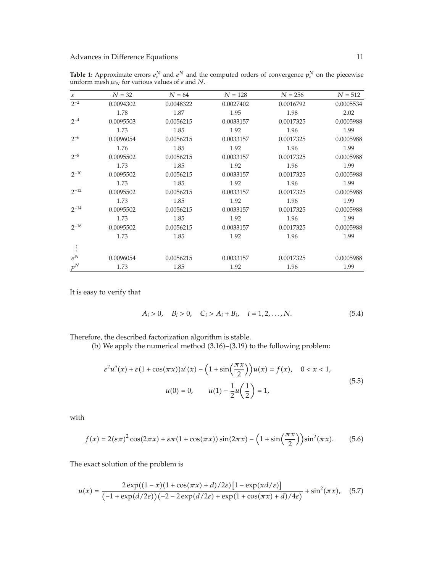| $\boldsymbol{\varepsilon}$ | $N = 32$  | $N = 64$  | $N = 128$ | $N = 256$ | $N = 512$ |
|----------------------------|-----------|-----------|-----------|-----------|-----------|
| $2^{-2}$                   | 0.0094302 | 0.0048322 | 0.0027402 | 0.0016792 | 0.0005534 |
|                            | 1.78      | 1.87      | 1.95      | 1.98      | 2.02      |
| $2^{-4}$                   | 0.0095503 | 0.0056215 | 0.0033157 | 0.0017325 | 0.0005988 |
|                            | 1.73      | 1.85      | 1.92      | 1.96      | 1.99      |
| $2^{-6}$                   | 0.0096054 | 0.0056215 | 0.0033157 | 0.0017325 | 0.0005988 |
|                            | 1.76      | 1.85      | 1.92      | 1.96      | 1.99      |
| $2^{-8}$                   | 0.0095502 | 0.0056215 | 0.0033157 | 0.0017325 | 0.0005988 |
|                            | 1.73      | 1.85      | 1.92      | 1.96      | 1.99      |
| $2^{-10}$                  | 0.0095502 | 0.0056215 | 0.0033157 | 0.0017325 | 0.0005988 |
|                            | 1.73      | 1.85      | 1.92      | 1.96      | 1.99      |
| $2^{-12}$                  | 0.0095502 | 0.0056215 | 0.0033157 | 0.0017325 | 0.0005988 |
|                            | 1.73      | 1.85      | 1.92      | 1.96      | 1.99      |
| $2^{-14}$                  | 0.0095502 | 0.0056215 | 0.0033157 | 0.0017325 | 0.0005988 |
|                            | 1.73      | 1.85      | 1.92      | 1.96      | 1.99      |
| $2^{-16}$                  | 0.0095502 | 0.0056215 | 0.0033157 | 0.0017325 | 0.0005988 |
|                            | 1.73      | 1.85      | 1.92      | 1.96      | 1.99      |
|                            |           |           |           |           |           |
| $e^N$                      | 0.0096054 | 0.0056215 | 0.0033157 | 0.0017325 | 0.0005988 |
| $p^N$                      | 1.73      | 1.85      | 1.92      | 1.96      | 1.99      |

**Table 1:** Approximate errors  $e^N_\varepsilon$  and  $e^N$  and the computed orders of convergence  $p^N_\varepsilon$  on the piecewise uniform mesh  $\omega_N$  for various values of  $\varepsilon$  and  $N$ .

It is easy to verify that

$$
A_i > 0, \quad B_i > 0, \quad C_i > A_i + B_i, \quad i = 1, 2, \dots, N. \tag{5.4}
$$

Therefore, the described factorization algorithm is stable.

(b) We apply the numerical method  $(3.16)$ – $(3.19)$  to the following problem:

$$
\varepsilon^{2}u''(x) + \varepsilon(1 + \cos(\pi x))u'(x) - \left(1 + \sin\left(\frac{\pi x}{2}\right)\right)u(x) = f(x), \quad 0 < x < 1,
$$
  

$$
u(0) = 0, \qquad u(1) - \frac{1}{2}u\left(\frac{1}{2}\right) = 1,
$$
 (5.5)

with

$$
f(x) = 2(\varepsilon \pi)^2 \cos(2\pi x) + \varepsilon \pi (1 + \cos(\pi x)) \sin(2\pi x) - \left(1 + \sin\left(\frac{\pi x}{2}\right)\right) \sin^2(\pi x). \tag{5.6}
$$

The exact solution of the problem is

$$
u(x) = \frac{2\exp((1-x)(1+\cos(\pi x)+d)/2\varepsilon)\left[1-\exp(\frac{x d}{\varepsilon})\right]}{(-1+\exp(d/2\varepsilon))\left(-2-2\exp(d/2\varepsilon)+\exp(1+\cos(\pi x)+d)/4\varepsilon\right)} + \sin^2(\pi x), \quad (5.7)
$$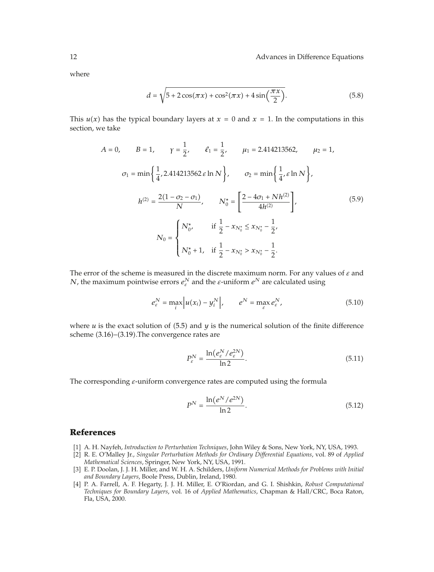where

$$
d = \sqrt{5 + 2\cos(\pi x) + \cos^2(\pi x) + 4\sin\left(\frac{\pi x}{2}\right)}.
$$
 (5.8)

This  $u(x)$  has the typical boundary layers at  $x = 0$  and  $x = 1$ . In the computations in this section, we take

$$
A = 0, \t B = 1, \t \gamma = \frac{1}{2}, \t \ell_1 = \frac{1}{2}, \t \mu_1 = 2.414213562, \t \mu_2 = 1,
$$
  

$$
\sigma_1 = \min\left\{\frac{1}{4}, 2.414213562 \varepsilon \ln N\right\}, \t \sigma_2 = \min\left\{\frac{1}{4}, \varepsilon \ln N\right\},
$$
  

$$
h^{(2)} = \frac{2(1 - \sigma_2 - \sigma_1)}{N}, \t N_0^* = \left[\frac{2 - 4\sigma_1 + N h^{(2)}}{4h^{(2)}}\right],
$$
  

$$
N_0 = \begin{cases} N_0^*, & \text{if } \frac{1}{2} - x_{N_0^*} \le x_{N_0^*} - \frac{1}{2}, \\ N_0^* + 1, & \text{if } \frac{1}{2} - x_{N_0^*} > x_{N_0^*} - \frac{1}{2}. \end{cases}
$$
(5.9)

The error of the scheme is measured in the discrete maximum norm. For any values of *ε* and *N*, the maximum pointwise errors  $e_{\varepsilon}^N$  and the  $\varepsilon$ -uniform  $e^N$  are calculated using

$$
e_{\varepsilon}^{N} = \max_{i} \left| u(x_{i}) - y_{i}^{N} \right|, \qquad e^{N} = \max_{\varepsilon} e_{\varepsilon}^{N}, \tag{5.10}
$$

where  $u$  is the exact solution of  $(5.5)$  and  $y$  is the numerical solution of the finite difference scheme  $(3.16)$ – $(3.19)$ . The convergence rates are

$$
P_{\varepsilon}^{N} = \frac{\ln(e_{\varepsilon}^{N}/e_{\varepsilon}^{2N})}{\ln 2}.
$$
\n(5.11)

The corresponding *ε*-uniform convergence rates are computed using the formula

$$
P^{N} = \frac{\ln(e^{N}/e^{2N})}{\ln 2}.
$$
\n(5.12)

### **References**

- 1 A. H. Nayfeh, *Introduction to Perturbation Techniques*, John Wiley & Sons, New York, NY, USA, 1993.
- 2 R. E. O'Malley Jr., *Singular Perturbation Methods for Ordinary Differential Equations*, vol. 89 of *Applied Mathematical Sciences*, Springer, New York, NY, USA, 1991.
- 3 E. P. Doolan, J. J. H. Miller, and W. H. A. Schilders, *Uniform Numerical Methods for Problems with Initial and Boundary Layers*, Boole Press, Dublin, Ireland, 1980.
- 4 P. A. Farrell, A. F. Hegarty, J. J. H. Miller, E. O'Riordan, and G. I. Shishkin, *Robust Computational Techniques for Boundary Layers*, vol. 16 of *Applied Mathematics*, Chapman & Hall/CRC, Boca Raton, Fla, USA, 2000.